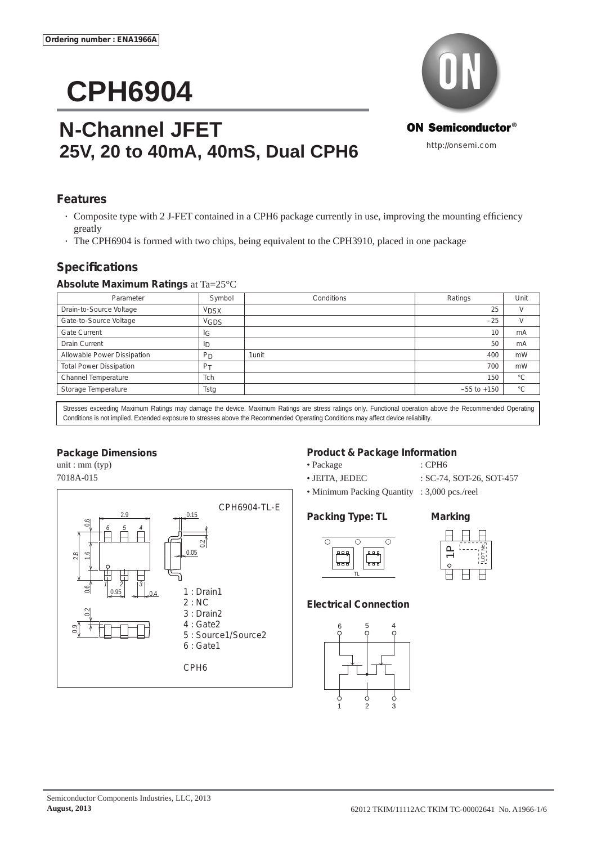# **CPH6904**

# **N-Channel JFET 25V, 20 to 40mA, 40mS, Dual CPH6**



## **Features**

- Composite type with 2 J-FET contained in a CPH6 package currently in use, improving the mounting efficiency greatly
- The CPH6904 is formed with two chips, being equivalent to the CPH3910, placed in one package

# **Specifi cations**

#### **Absolute Maximum Ratings** at Ta=25°C

| Parameter                      | Symbol         | Conditions | Ratings         | Unit         |
|--------------------------------|----------------|------------|-----------------|--------------|
| Drain-to-Source Voltage        | <b>VDSX</b>    |            | 25              |              |
| Gate-to-Source Voltage         | <b>VGDS</b>    |            | $-25$           |              |
| Gate Current                   | ΙG             |            | 10              | mA           |
| <b>Drain Current</b>           | ID             |            | 50              | mA           |
| Allowable Power Dissipation    | <b>PD</b>      | 1unit      | 400             | mW           |
| <b>Total Power Dissipation</b> | P <sub>T</sub> |            | 700             | mW           |
| Channel Temperature            | Tch            |            | 150             | $^{\circ}C$  |
| Storage Temperature            | Tstg           |            | $-55$ to $+150$ | $^{\circ}$ C |

Stresses exceeding Maximum Ratings may damage the device. Maximum Ratings are stress ratings only. Functional operation above the Recommended Operating Conditions is not implied. Extended exposure to stresses above the Recommended Operating Conditions may affect device reliability.

#### **Package Dimensions**

unit : mm (typ) 7018A-015



#### **Product & Package Information**

- Package : CPH6
	-
- JEITA, JEDEC : SC-74, SOT-26, SOT-457
	-
- Minimum Packing Quantity : 3,000 pcs./reel

#### **Packing Type: TL Marking**





#### **Electrical Connection**





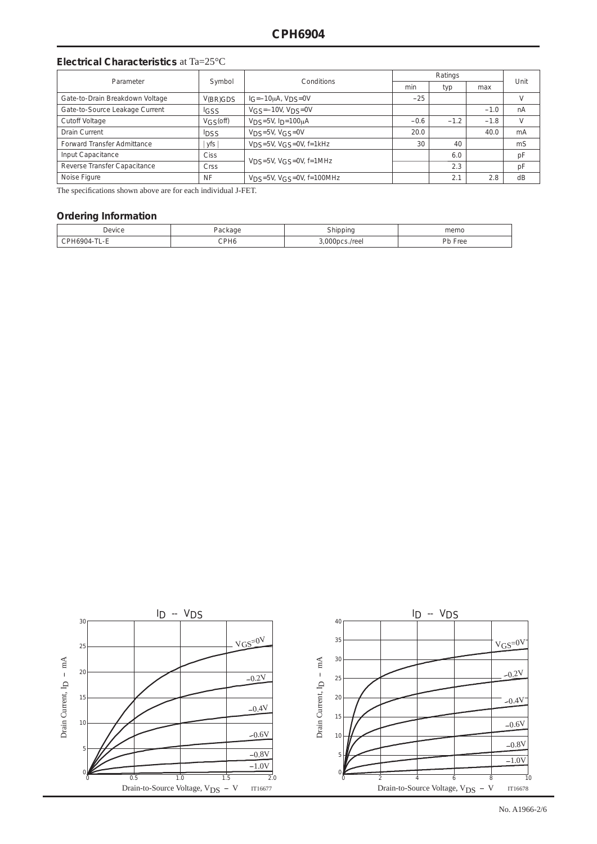#### **Electrical Characteristics** at Ta=25°C

| Parameter                       | Symbol      | Conditions                                            | Ratings |        |        | Unit |
|---------------------------------|-------------|-------------------------------------------------------|---------|--------|--------|------|
|                                 |             |                                                       | min     | typ    | max    |      |
| Gate-to-Drain Breakdown Voltage | V(BR)GDS    | $1G = -10\mu A$ , $VDS = 0V$                          | $-25$   |        |        | V    |
| Gate-to-Source Leakage Current  | <b>IGSS</b> | $V$ <sub>GS</sub> = $-10V$ , $V$ <sub>DS</sub> = $0V$ |         |        | $-1.0$ | nA   |
| <b>Cutoff Voltage</b>           | VGS(off)    | $VDS=5V$ , $I_D=100\mu A$                             | $-0.6$  | $-1.2$ | $-1.8$ | V    |
| <b>Drain Current</b>            | <b>IDSS</b> | $VDS=5V, VGS=0V$                                      | 20.0    |        | 40.0   | mA   |
| Forward Transfer Admittance     | yfs         | $VDS=5V$ , $VGS=0V$ , $f=1kHz$                        | 30      | 40     |        | mS   |
| Input Capacitance               | Ciss        |                                                       |         | 6.0    |        | pF   |
| Reverse Transfer Capacitance    | Crss        | $VDS=5V$ , $VGS=0V$ , $f=1MHz$                        |         | 2.3    |        | pF   |
| Noise Figure                    | <b>NF</b>   | $V_{DS} = 5V$ , $V_{GS} = 0V$ , f=100MHz              |         | 2.1    | 2.8    | dB   |

The specifications shown above are for each individual J-FET.

#### **Ordering Information**

| Jevice |      |  | memo                        |  |
|--------|------|--|-----------------------------|--|
|        | CPH6 |  | nh<br>$\sim$<br>FIEE<br>'N. |  |

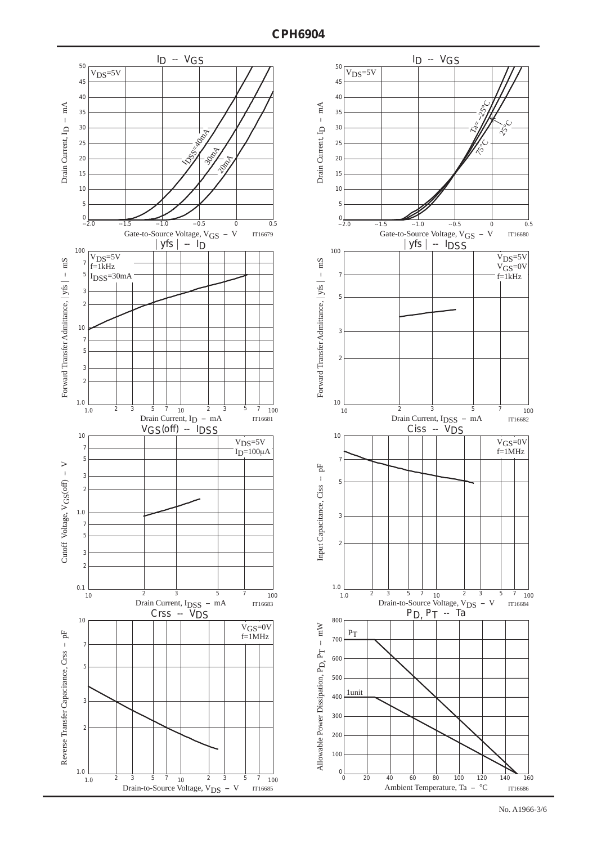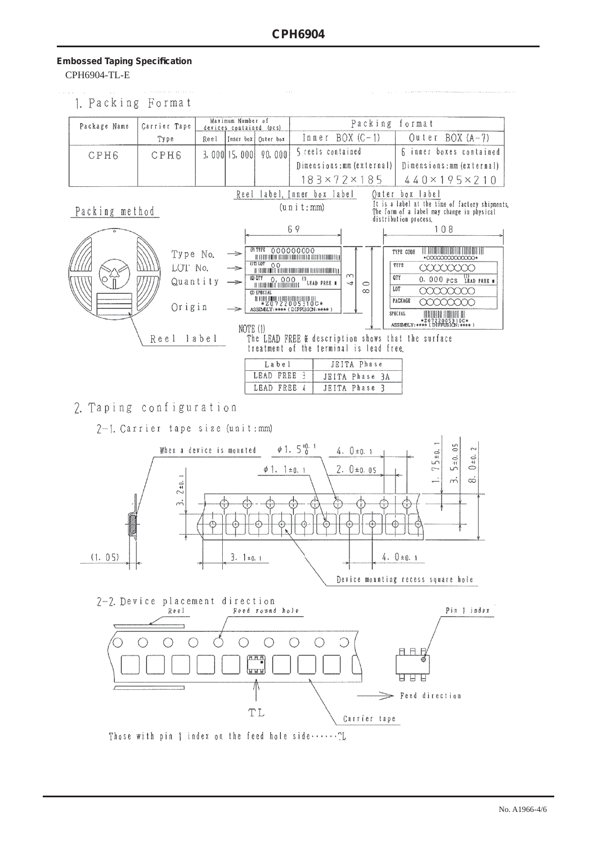### **Embossed Taping Specifi cation** CPH6904-TL-E

1. Packing Format

| Package Name                                   | Carrier Tape                          |                   | Maximum Number of         |                                                                                                          |                                                                                                                                                                                                                                        | Packing                                                                                     | format                                                                                                                                                                                                                                                    |
|------------------------------------------------|---------------------------------------|-------------------|---------------------------|----------------------------------------------------------------------------------------------------------|----------------------------------------------------------------------------------------------------------------------------------------------------------------------------------------------------------------------------------------|---------------------------------------------------------------------------------------------|-----------------------------------------------------------------------------------------------------------------------------------------------------------------------------------------------------------------------------------------------------------|
|                                                |                                       |                   | devices contained (pcs)   |                                                                                                          | $Inner BOX (C-1)$                                                                                                                                                                                                                      |                                                                                             |                                                                                                                                                                                                                                                           |
|                                                | Type                                  | Reel              |                           | Inner box   Outer box                                                                                    |                                                                                                                                                                                                                                        |                                                                                             | Outer BOX (A-7)                                                                                                                                                                                                                                           |
| CPH6                                           | <b>CPH6</b>                           |                   | 3,000115,0001             | 90,000                                                                                                   | 5 reels contained                                                                                                                                                                                                                      |                                                                                             | 6 inner boxes contained                                                                                                                                                                                                                                   |
|                                                |                                       |                   |                           |                                                                                                          | Dimensions: mm (external)                                                                                                                                                                                                              |                                                                                             | Dimensions; mm (external)                                                                                                                                                                                                                                 |
|                                                |                                       |                   |                           |                                                                                                          | $183\times72\times185$                                                                                                                                                                                                                 |                                                                                             | $440 \times 195 \times 210$                                                                                                                                                                                                                               |
| Reel label, Inner box label<br>Quier box label |                                       |                   |                           |                                                                                                          |                                                                                                                                                                                                                                        |                                                                                             |                                                                                                                                                                                                                                                           |
| Packing method                                 |                                       |                   |                           |                                                                                                          | (u n i t : mm)                                                                                                                                                                                                                         |                                                                                             | It is a label at the time of factory shipments,<br>The form of a label may change in physical<br>distribution process.                                                                                                                                    |
|                                                |                                       |                   |                           |                                                                                                          | 69                                                                                                                                                                                                                                     |                                                                                             | 108                                                                                                                                                                                                                                                       |
|                                                | Type No.<br>LOT No.<br>Origin<br>Reel | Quantity<br>label | $\Rightarrow$<br>NOTE (1) | <b>PITYPE 000000000</b><br>(Q) QTY<br>(2) SPECIAL<br>HIMMUHUMUHUMUHUM<br>Label<br>LEAD FREE<br>LEAD FREE | THE SET INTO THE REGION TO THE UNITED STATES OF A SET OF A SET OF A SET OF A SET OF A SET OF A SET OF A<br>U QTY O, OOO <sup>{D</sup> ERAD FREE *<br>ASSEMBLY: **** (DIFFUSION: **** )<br>treatment of the terminal is lead free.<br>₹ | m<br>$\rightarrow$<br>$\circ$<br>$\infty$<br>JEITA Phase<br>JEITA Phase 3A<br>JEITA Phase 3 | HEILININ HAHEILI<br>TYPE CODE<br>*00000000000000*<br>TYPE<br>aaaaao<br>QTY<br>$0.000$ PCS LEAD FREE #<br>LOT<br>xxx<br>PACKAGE<br>XXX<br>SPECIAL<br>*Z0722005310C*<br>ASSEMBLY:****(DIFFUSION:****)<br>The LEAD FREE & description shows that the surface |

2. Taping configuration

2-1. Carrier tape size (unit:mm)



Those with pin  $\uparrow$  index on the feed hole side...... $TL$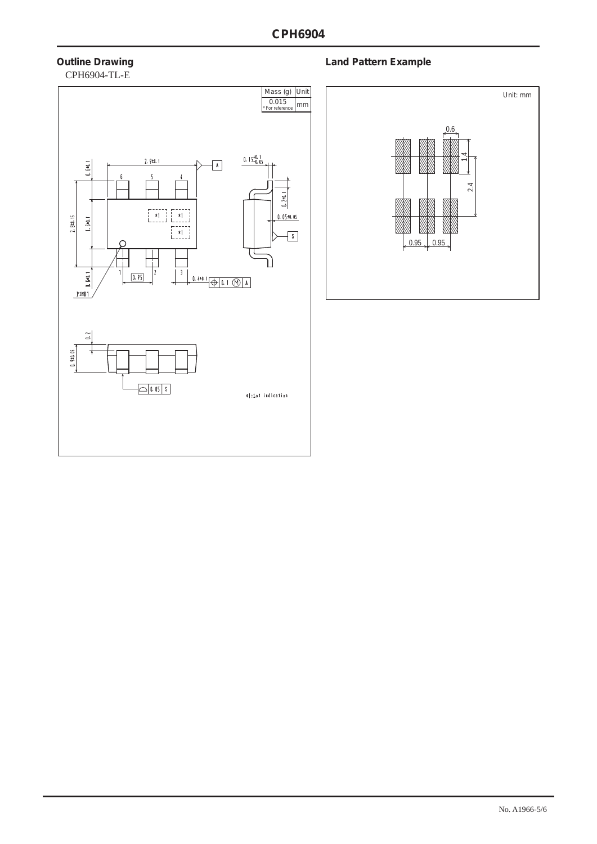# CPH6904-TL-E



## **Outline Drawing Community Community Community Community Community Community Community Community Community Community**